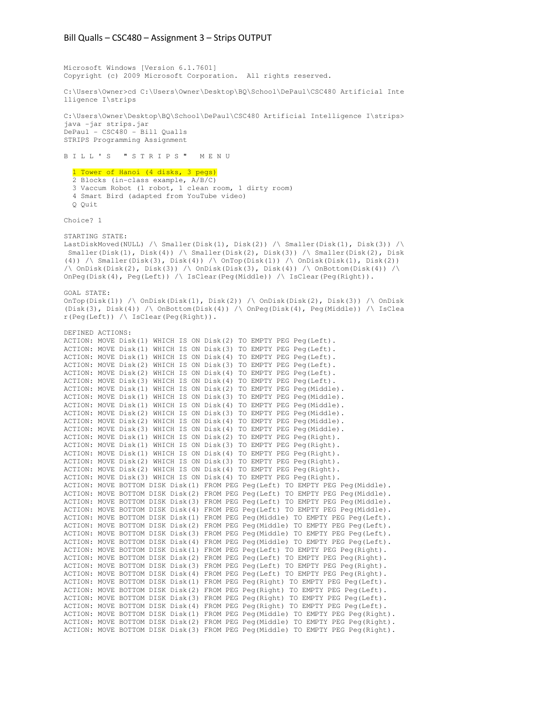Microsoft Windows [Version 6.1.7601] Copyright (c) 2009 Microsoft Corporation. All rights reserved.

C:\Users\Owner>cd C:\Users\Owner\Desktop\BQ\School\DePaul\CSC480 Artificial Inte lligence I\strips

C:\Users\Owner\Desktop\BQ\School\DePaul\CSC480 Artificial Intelligence I\strips> java -jar strips.jar DePaul - CSC480 - Bill Qualls STRIPS Programming Assignment

B I L L ' S " S T R I P S " M E N U

 1 Tower of Hanoi (4 disks, 3 pegs) 2 Blocks (in-class example, A/B/C)

- 3 Vaccum Robot (1 robot, 1 clean room, 1 dirty room)
- 4 Smart Bird (adapted from YouTube video)
- Q Quit

Choice? 1

STARTING STATE:

LastDiskMoved(NULL) /\ Smaller(Disk(1), Disk(2)) /\ Smaller(Disk(1), Disk(3)) /\ Smaller(Disk(1), Disk(4)) /\ Smaller(Disk(2), Disk(3)) /\ Smaller(Disk(2), Disk (4)) /\ Smaller(Disk(3), Disk(4)) /\ OnTop(Disk(1)) /\ OnDisk(Disk(1), Disk(2))  $\wedge$  OnDisk(Disk(2), Disk(3))  $\wedge$  OnDisk(Disk(3), Disk(4))  $\wedge$  OnBottom(Disk(4))  $\wedge$ OnPeg(Disk(4), Peg(Left)) /\ IsClear(Peg(Middle)) /\ IsClear(Peg(Right)).

GOAL STATE:  $\verb|OnTop(Disk(1)) | \wedge \verb|OnDisk(Disk(1), Disk(2)) | \wedge \verb|OnDisk(Disk(2), Disk(3)) | \wedge \verb|OnDisk|$ (Disk(3), Disk(4)) /\ OnBottom(Disk(4)) /\ OnPeg(Disk(4), Peg(Middle)) /\ IsClea r(Peg(Left)) /\ IsClear(Peg(Right)).

| DEFINED ACTIONS: |  |  |                                                                                  |
|------------------|--|--|----------------------------------------------------------------------------------|
|                  |  |  | ACTION: MOVE Disk(1) WHICH IS ON Disk(2) TO EMPTY PEG Peq(Left).                 |
|                  |  |  | ACTION: MOVE Disk(1) WHICH IS ON Disk(3) TO EMPTY PEG Peq(Left).                 |
|                  |  |  | ACTION: MOVE Disk(1) WHICH IS ON Disk(4) TO EMPTY PEG Peq(Left).                 |
|                  |  |  | ACTION: MOVE Disk(2) WHICH IS ON Disk(3) TO EMPTY PEG Peq(Left).                 |
|                  |  |  | ACTION: MOVE Disk(2) WHICH IS ON Disk(4) TO EMPTY PEG Peq(Left).                 |
|                  |  |  | ACTION: MOVE Disk(3) WHICH IS ON Disk(4) TO EMPTY PEG Peq(Left).                 |
|                  |  |  | ACTION: MOVE Disk(1) WHICH IS ON Disk(2) TO EMPTY PEG Peq(Middle).               |
|                  |  |  | ACTION: MOVE Disk(1) WHICH IS ON Disk(3) TO EMPTY PEG Peq(Middle).               |
|                  |  |  | ACTION: MOVE Disk(1) WHICH IS ON Disk(4) TO EMPTY PEG Peq(Middle).               |
|                  |  |  | ACTION: MOVE Disk(2) WHICH IS ON Disk(3) TO EMPTY PEG Peq(Middle).               |
|                  |  |  | ACTION: MOVE Disk(2) WHICH IS ON Disk(4) TO EMPTY PEG Peq(Middle).               |
|                  |  |  | ACTION: MOVE Disk(3) WHICH IS ON Disk(4) TO EMPTY PEG Peq(Middle).               |
|                  |  |  | ACTION: MOVE Disk(1) WHICH IS ON Disk(2) TO EMPTY PEG Peq(Right).                |
|                  |  |  | ACTION: MOVE Disk(1) WHICH IS ON Disk(3) TO EMPTY PEG Peq(Right).                |
|                  |  |  | ACTION: MOVE Disk(1) WHICH IS ON Disk(4) TO EMPTY PEG Peq(Right).                |
|                  |  |  | ACTION: MOVE Disk(2) WHICH IS ON Disk(3) TO EMPTY PEG Peq(Right).                |
|                  |  |  | ACTION: MOVE Disk(2) WHICH IS ON Disk(4) TO EMPTY PEG Peq(Right).                |
|                  |  |  | ACTION: MOVE Disk(3) WHICH IS ON Disk(4) TO EMPTY PEG Peq(Right).                |
|                  |  |  | ACTION: MOVE BOTTOM DISK Disk(1) FROM PEG Peq(Left) TO EMPTY PEG Peq(Middle).    |
|                  |  |  | ACTION: MOVE BOTTOM DISK Disk(2) FROM PEG Peq(Left) TO EMPTY PEG Peq(Middle).    |
|                  |  |  | ACTION: MOVE BOTTOM DISK Disk(3) FROM PEG Peq(Left) TO EMPTY PEG Peq(Middle).    |
|                  |  |  | ACTION: MOVE BOTTOM DISK Disk (4) FROM PEG Peq(Left) TO EMPTY PEG Peq(Middle).   |
|                  |  |  | ACTION: MOVE BOTTOM DISK Disk (1) FROM PEG Peq (Middle) TO EMPTY PEG Peq (Left). |
|                  |  |  | ACTION: MOVE BOTTOM DISK Disk(2) FROM PEG Peq(Middle) TO EMPTY PEG Peq(Left).    |
|                  |  |  | ACTION: MOVE BOTTOM DISK Disk (3) FROM PEG Peq (Middle) TO EMPTY PEG Peq (Left). |
|                  |  |  | ACTION: MOVE BOTTOM DISK Disk(4) FROM PEG Peq(Middle) TO EMPTY PEG Peq(Left).    |
|                  |  |  | ACTION: MOVE BOTTOM DISK Disk (1) FROM PEG Peg (Left) TO EMPTY PEG Peg (Right).  |
|                  |  |  | ACTION: MOVE BOTTOM DISK Disk(2) FROM PEG Peq(Left) TO EMPTY PEG Peq(Right).     |
|                  |  |  | ACTION: MOVE BOTTOM DISK Disk(3) FROM PEG Peq(Left) TO EMPTY PEG Peq(Right).     |
|                  |  |  | ACTION: MOVE BOTTOM DISK Disk(4) FROM PEG Peq(Left) TO EMPTY PEG Peq(Right).     |
|                  |  |  | ACTION: MOVE BOTTOM DISK Disk(1) FROM PEG Peq(Right) TO EMPTY PEG Peq(Left).     |
|                  |  |  | ACTION: MOVE BOTTOM DISK Disk(2) FROM PEG Peq(Right) TO EMPTY PEG Peq(Left).     |
|                  |  |  | ACTION: MOVE BOTTOM DISK Disk(3) FROM PEG Peq(Right) TO EMPTY PEG Peq(Left).     |
|                  |  |  | ACTION: MOVE BOTTOM DISK Disk(4) FROM PEG Peq(Right) TO EMPTY PEG Peq(Left).     |
|                  |  |  | ACTION: MOVE BOTTOM DISK Disk(1) FROM PEG Peq(Middle) TO EMPTY PEG Peq(Right).   |
|                  |  |  | ACTION: MOVE BOTTOM DISK Disk(2) FROM PEG Peq(Middle) TO EMPTY PEG Peq(Right).   |
|                  |  |  | ACTION: MOVE BOTTOM DISK Disk(3) FROM PEG Peq(Middle) TO EMPTY PEG Peq(Right).   |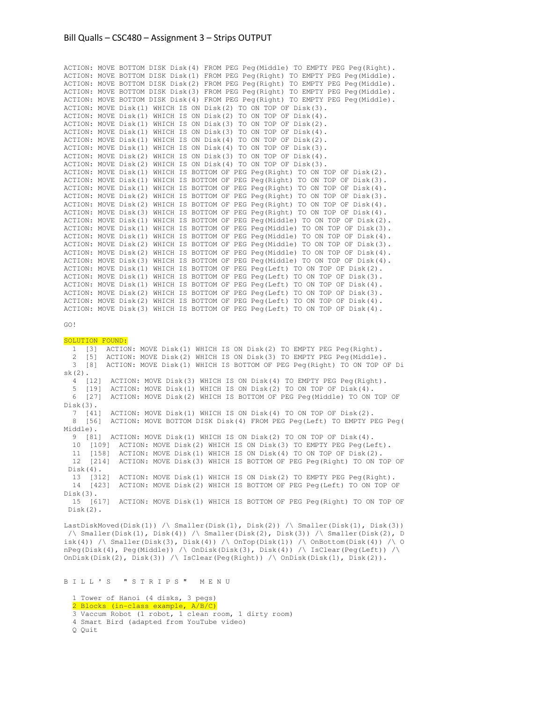ACTION: MOVE BOTTOM DISK Disk(4) FROM PEG Peg(Middle) TO EMPTY PEG Peg(Right). ACTION: MOVE BOTTOM DISK Disk(1) FROM PEG Peg(Right) TO EMPTY PEG Peg(Middle). ACTION: MOVE BOTTOM DISK Disk(2) FROM PEG Peg(Right) TO EMPTY PEG Peg(Middle). ACTION: MOVE BOTTOM DISK Disk(3) FROM PEG Peg(Right) TO EMPTY PEG Peg(Middle). ACTION: MOVE BOTTOM DISK Disk(4) FROM PEG Peg(Right) TO EMPTY PEG Peg(Middle). ACTION: MOVE Disk(1) WHICH IS ON Disk(2) TO ON TOP OF Disk(3). ACTION: MOVE Disk(1) WHICH IS ON Disk(2) TO ON TOP OF Disk(4). ACTION: MOVE Disk(1) WHICH IS ON Disk(3) TO ON TOP OF Disk(2). ACTION: MOVE Disk(1) WHICH IS ON Disk(3) TO ON TOP OF Disk(4). ACTION: MOVE Disk(1) WHICH IS ON Disk(4) TO ON TOP OF Disk(2). ACTION: MOVE Disk(1) WHICH IS ON Disk(4) TO ON TOP OF Disk(3). ACTION: MOVE Disk(2) WHICH IS ON Disk(3) TO ON TOP OF Disk(4). ACTION: MOVE Disk(2) WHICH IS ON Disk(4) TO ON TOP OF Disk(3). ACTION: MOVE Disk(1) WHICH IS BOTTOM OF PEG Peg(Right) TO ON TOP OF Disk(2). ACTION: MOVE Disk(1) WHICH IS BOTTOM OF PEG Peg(Right) TO ON TOP OF Disk(3). ACTION: MOVE Disk(1) WHICH IS BOTTOM OF PEG Peg(Right) TO ON TOP OF Disk(4). ACTION: MOVE Disk(2) WHICH IS BOTTOM OF PEG Peg(Right) TO ON TOP OF Disk(3). ACTION: MOVE Disk(2) WHICH IS BOTTOM OF PEG Peg(Right) TO ON TOP OF Disk(4). ACTION: MOVE Disk(3) WHICH IS BOTTOM OF PEG Peg(Right) TO ON TOP OF Disk(4). ACTION: MOVE Disk(1) WHICH IS BOTTOM OF PEG Peg(Middle) TO ON TOP OF Disk(2). ACTION: MOVE Disk(1) WHICH IS BOTTOM OF PEG Peg(Middle) TO ON TOP OF Disk(3). ACTION: MOVE Disk(1) WHICH IS BOTTOM OF PEG Peg(Middle) TO ON TOP OF Disk(4). ACTION: MOVE Disk(2) WHICH IS BOTTOM OF PEG Peg(Middle) TO ON TOP OF Disk(3). ACTION: MOVE Disk(2) WHICH IS BOTTOM OF PEG Peg(Middle) TO ON TOP OF Disk(4). ACTION: MOVE Disk(3) WHICH IS BOTTOM OF PEG Peg(Middle) TO ON TOP OF Disk(4). ACTION: MOVE Disk(1) WHICH IS BOTTOM OF PEG Peg(Left) TO ON TOP OF Disk(2). ACTION: MOVE Disk(1) WHICH IS BOTTOM OF PEG Peg(Left) TO ON TOP OF Disk(3). ACTION: MOVE Disk(1) WHICH IS BOTTOM OF PEG Peg(Left) TO ON TOP OF Disk(4). ACTION: MOVE Disk(2) WHICH IS BOTTOM OF PEG Peg(Left) TO ON TOP OF Disk(3). ACTION: MOVE Disk(2) WHICH IS BOTTOM OF PEG Peg(Left) TO ON TOP OF Disk(4). ACTION: MOVE Disk(3) WHICH IS BOTTOM OF PEG Peg(Left) TO ON TOP OF Disk(4).

```
GO!
```
SOLUTION FOUND: 1 [3] ACTION: MOVE Disk(1) WHICH IS ON Disk(2) TO EMPTY PEG Peg(Right). 2 [5] ACTION: MOVE Disk(2) WHICH IS ON Disk(3) TO EMPTY PEG Peg(Middle). 3 [8] ACTION: MOVE Disk(1) WHICH IS BOTTOM OF PEG Peg(Right) TO ON TOP OF Di sk(2). 4 [12] ACTION: MOVE Disk(3) WHICH IS ON Disk(4) TO EMPTY PEG Peg(Right). 5 [19] ACTION: MOVE Disk(1) WHICH IS ON Disk(2) TO ON TOP OF Disk(4). 6 [27] ACTION: MOVE Disk(2) WHICH IS BOTTOM OF PEG Peg(Middle) TO ON TOP OF Disk(3). 7 [41] ACTION: MOVE Disk(1) WHICH IS ON Disk(4) TO ON TOP OF Disk(2). 8 [56] ACTION: MOVE BOTTOM DISK Disk(4) FROM PEG Peg(Left) TO EMPTY PEG Peg( Middle). 9 [81] ACTION: MOVE Disk(1) WHICH IS ON Disk(2) TO ON TOP OF Disk(4). 10 [109] ACTION: MOVE Disk(2) WHICH IS ON Disk(3) TO EMPTY PEG Peg(Left). 11 [158] ACTION: MOVE Disk(1) WHICH IS ON Disk(4) TO ON TOP OF Disk(2). 12 [214] ACTION: MOVE Disk(3) WHICH IS BOTTOM OF PEG Peg(Right) TO ON TOP OF  $Dist(4).$ <br>13 [312] ACTION: MOVE Disk(1) WHICH IS ON Disk(2) TO EMPTY PEG Peg(Right). 14 [423] ACTION: MOVE Disk(2) WHICH IS BOTTOM OF PEG Peg(Left) TO ON TOP OF Disk(3). 15 [617] ACTION: MOVE Disk(1) WHICH IS BOTTOM OF PEG Peg(Right) TO ON TOP OF Disk(2).

LastDiskMoved(Disk(1)) /\ Smaller(Disk(1), Disk(2)) /\ Smaller(Disk(1), Disk(3)) /\ Smaller(Disk(1), Disk(4)) /\ Smaller(Disk(2), Disk(3)) /\ Smaller(Disk(2), D isk(4)) /\ Smaller(Disk(3), Disk(4)) /\ OnTop(Disk(1)) /\ OnBottom(Disk(4)) /\ O nPeg(Disk(4), Peg(Middle)) /\ OnDisk(Disk(3), Disk(4)) /\ IsClear(Peg(Left)) /\ OnDisk(Disk(2), Disk(3)) / \ IsClear(Peg(Right)) / \ OnDisk(Disk(1), Disk(2)).

B I L L ' S " S T R I P S " M E N U

 1 Tower of Hanoi (4 disks, 3 pegs) 2 Blocks (in-class example, A/B/C) 3 Vaccum Robot (1 robot, 1 clean room, 1 dirty room) 4 Smart Bird (adapted from YouTube video) Q Quit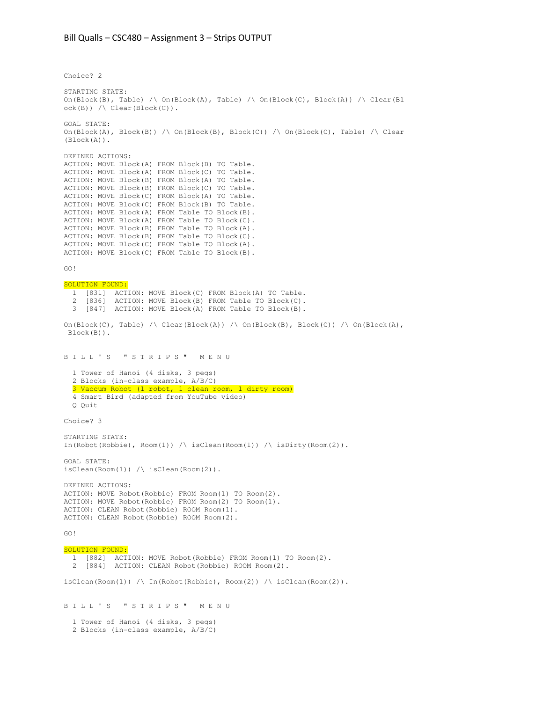Choice? 2

STARTING STATE: On(Block(B), Table) /\ On(Block(A), Table) /\ On(Block(C), Block(A)) /\ Clear(Bl ock(B)) /\ Clear(Block(C)). GOAL STATE: On(Block(A), Block(B)) /\ On(Block(B), Block(C)) /\ On(Block(C), Table) /\ Clear (Block(A)). DEFINED ACTIONS: ACTION: MOVE Block(A) FROM Block(B) TO Table. ACTION: MOVE Block(A) FROM Block(C) TO Table. ACTION: MOVE Block(B) FROM Block(A) TO Table. ACTION: MOVE Block(B) FROM Block(C) TO Table. ACTION: MOVE Block(C) FROM Block(A) TO Table. ACTION: MOVE Block(C) FROM Block(B) TO Table. ACTION: MOVE Block(A) FROM Table TO Block(B). ACTION: MOVE Block(A) FROM Table TO Block(C). ACTION: MOVE Block(B) FROM Table TO Block(A). ACTION: MOVE Block(B) FROM Table TO Block(C). ACTION: MOVE Block(C) FROM Table TO Block(A). ACTION: MOVE Block(C) FROM Table TO Block(B). GO! SOLUTION FOUND: 1 [831] ACTION: MOVE Block(C) FROM Block(A) TO Table. 2 [836] ACTION: MOVE Block(B) FROM Table TO Block(C). 3 [847] ACTION: MOVE Block(A) FROM Table TO Block(B). On(Block(C), Table) /\ Clear(Block(A)) /\ On(Block(B), Block(C)) /\ On(Block(A), Block(B)). B I L L ' S " S T R I P S " M E N U 1 Tower of Hanoi (4 disks, 3 pegs) 2 Blocks (in-class example, A/B/C) 3 Vaccum Robot (1 robot, 1 clean room, 1 dirty room) 4 Smart Bird (adapted from YouTube video) Q Quit Choice? 3 STARTING STATE: In(Robot(Robbie),  $Room(1)$  / isClean(Room(1)) / isDirty(Room(2)). GOAL STATE: isClean(Room(1)) /\ isClean(Room(2)). DEFINED ACTIONS: ACTION: MOVE Robot(Robbie) FROM Room(1) TO Room(2). ACTION: MOVE Robot(Robbie) FROM Room(2) TO Room(1). ACTION: CLEAN Robot(Robbie) ROOM Room(1). ACTION: CLEAN Robot(Robbie) ROOM Room(2). GO! SOLUTION FOUND: 1 [882] ACTION: MOVE Robot(Robbie) FROM Room(1) TO Room(2). 2 [884] ACTION: CLEAN Robot(Robbie) ROOM Room(2).  $isClean(Room(1))$  / \ In(Robot(Robbie), Room(2)) / \ isClean(Room(2)). B I L L ' S " S T R I P S " M E N U 1 Tower of Hanoi (4 disks, 3 pegs) 2 Blocks (in-class example, A/B/C)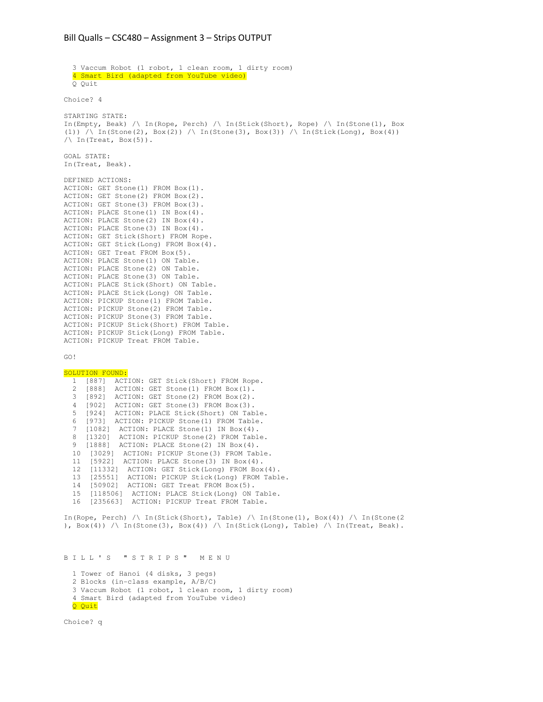```
 3 Vaccum Robot (1 robot, 1 clean room, 1 dirty room) 
   4 Smart Bird (adapted from YouTube video) 
   Q Quit 
Choice? 4
STARTING STATE: 
In(Empty, Beak) /\ In(Rope, Perch) /\ In(Stick(Short), Rope) /\ In(Stone(1), Box 
(1)) /\ In(Stone(2), Box(2)) /\ In(Stone(3), Box(3)) /\ In(Stick(Long), Box(4))
\sqrt{2} In(Treat, Box(5)).
GOAL STATE: 
In(Treat, Beak). 
DEFINED ACTIONS: 
ACTION: GET Stone(1) FROM Box(1). 
ACTION: GET Stone(2) FROM Box(2). 
ACTION: GET Stone(3) FROM Box(3). 
ACTION: PLACE Stone(1) IN Box(4). 
ACTION: PLACE Stone(2) IN Box(4). 
ACTION: PLACE Stone(3) IN Box(4). 
ACTION: GET Stick(Short) FROM Rope. 
ACTION: GET Stick(Long) FROM Box(4). 
ACTION: GET Treat FROM Box(5). 
ACTION: PLACE Stone(1) ON Table. 
ACTION: PLACE Stone(2) ON Table. 
ACTION: PLACE Stone(3) ON Table. 
ACTION: PLACE Stick(Short) ON Table. 
ACTION: PLACE Stick(Long) ON Table. 
ACTION: PICKUP Stone(1) FROM Table. 
ACTION: PICKUP Stone(2) FROM Table. 
ACTION: PICKUP Stone(3) FROM Table. 
ACTION: PICKUP Stick(Short) FROM Table. 
ACTION: PICKUP Stick(Long) FROM Table. 
ACTION: PICKUP Treat FROM Table. 
GO! 
SOLUTION FOUND:
  1 [887] ACTION: GET Stick(Short) FROM Rope.<br>2 [888] ACTION: GET Stone(1) FROM Box(1)
 2 [888] ACTION: GET Stone(1) FROM Box(1). 
 3 [892] ACTION: GET Stone(2) FROM Box(2). 
   4 [902] ACTION: GET Stone(3) FROM Box(3). 
   5 [924] ACTION: PLACE Stick(Short) ON Table. 
 6 [973] ACTION: PICKUP Stone(1) FROM Table. 
 7 [1082] ACTION: PLACE Stone(1) IN Box(4). 
   8 [1320] ACTION: PICKUP Stone(2) FROM Table. 
 9 [1888] ACTION: PLACE Stone(2) IN Box(4). 
 10 [3029] ACTION: PICKUP Stone(3) FROM Table. 
   11 [5922] ACTION: PLACE Stone(3) IN Box(4). 
   12 [11332] ACTION: GET Stick(Long) FROM Box(4).
   13 [25551] ACTION: PICKUP Stick(Long) FROM Table. 
   14 [50902] ACTION: GET Treat FROM Box(5). 
   15 [118506] ACTION: PLACE Stick(Long) ON Table.
   16 [235663] ACTION: PICKUP Treat FROM Table. 
In(Rope, Perch) /\ In(Stick(Short), Table) /\ In(Stone(1), Box(4)) /\ In(Stone(2)
```
),  $Box(4))$  / In(Stone(3),  $Box(4))$  / In(Stick(Long), Table) / In(Treat, Beak).

B I L L ' S " S T R I P S " M E N U

 1 Tower of Hanoi (4 disks, 3 pegs) 2 Blocks (in-class example, A/B/C) 3 Vaccum Robot (1 robot, 1 clean room, 1 dirty room) 4 Smart Bird (adapted from YouTube video) Q Quit

Choice? q